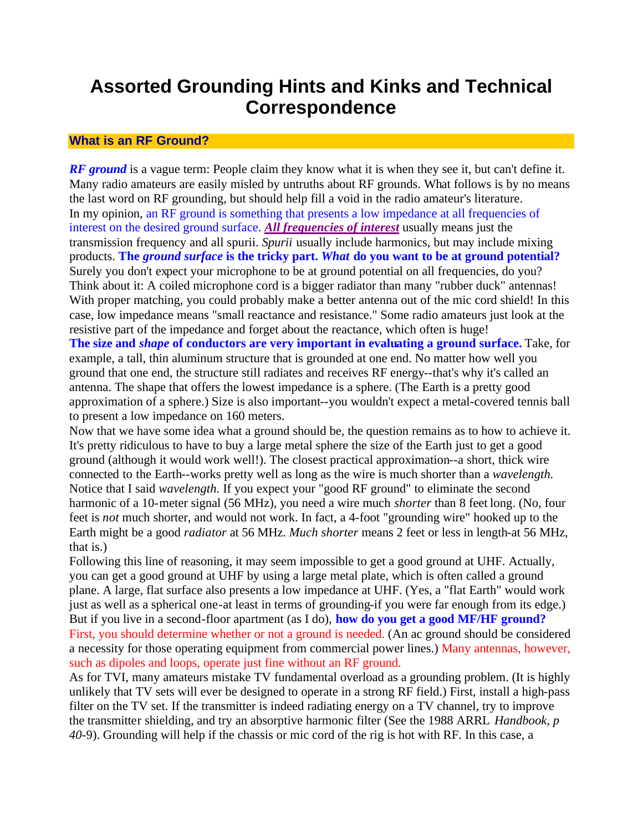# **Assorted Grounding Hints and Kinks and Technical Correspondence**

#### **What is an RF Ground?**

*RF ground* is a vague term: People claim they know what it is when they see it, but can't define it. Many radio amateurs are easily misled by untruths about RF grounds. What follows is by no means the last word on RF grounding, but should help fill a void in the radio amateur's literature. In my opinion, an RF ground is something that presents a low impedance at all frequencies of interest on the desired ground surface. *All frequencies of interest* usually means just the transmission frequency and all spurii. *Spurii* usually include harmonics, but may include mixing products. **The** *ground surface* **is the tricky part.** *What* **do you want to be at ground potential?** Surely you don't expect your microphone to be at ground potential on all frequencies, do you? Think about it: A coiled microphone cord is a bigger radiator than many "rubber duck" antennas! With proper matching, you could probably make a better antenna out of the mic cord shield! In this case, low impedance means "small reactance and resistance." Some radio amateurs just look at the resistive part of the impedance and forget about the reactance, which often is huge! **The size and** *shape* **of conductors are very important in evaluating a ground surface.** Take, for example, a tall, thin aluminum structure that is grounded at one end. No matter how well you ground that one end, the structure still radiates and receives RF energy--that's why it's called an antenna. The shape that offers the lowest impedance is a sphere. (The Earth is a pretty good approximation of a sphere.) Size is also important--you wouldn't expect a metal-covered tennis ball

to present a low impedance on 160 meters.

Now that we have some idea what a ground should be, the question remains as to how to achieve it. It's pretty ridiculous to have to buy a large metal sphere the size of the Earth just to get a good ground (although it would work well!). The closest practical approximation--a short, thick wire connected to the Earth--works pretty well as long as the wire is much shorter than a *wavelength.*  Notice that I said *wavelength.* If you expect your "good RF ground" to eliminate the second harmonic of a 10-meter signal (56 MHz), you need a wire much *shorter* than 8 feet long. (No, four feet is *not* much shorter, and would not work. In fact, a 4-foot "grounding wire" hooked up to the Earth might be a good *radiator* at 56 MHz. *Much shorter* means 2 feet or less in length-at 56 MHz, that is.)

Following this line of reasoning, it may seem impossible to get a good ground at UHF. Actually, you can get a good ground at UHF by using a large metal plate, which is often called a ground plane. A large, flat surface also presents a low impedance at UHF. (Yes, a "flat Earth" would work just as well as a spherical one-at least in terms of grounding-if you were far enough from its edge.) But if you live in a second-floor apartment (as I do), **how do you get a good MF/HF ground?** First, you should determine whether or not a ground is needed. (An ac ground should be considered a necessity for those operating equipment from commercial power lines.) Many antennas, however, such as dipoles and loops, operate just fine without an RF ground.

As for TVI, many amateurs mistake TV fundamental overload as a grounding problem. (It is highly unlikely that TV sets will ever be designed to operate in a strong RF field.) First, install a high-pass filter on the TV set. If the transmitter is indeed radiating energy on a TV channel, try to improve the transmitter shielding, and try an absorptive harmonic filter (See the 1988 ARRL *Handbook, p 40*-9). Grounding will help if the chassis or mic cord of the rig is hot with RF. In this case, a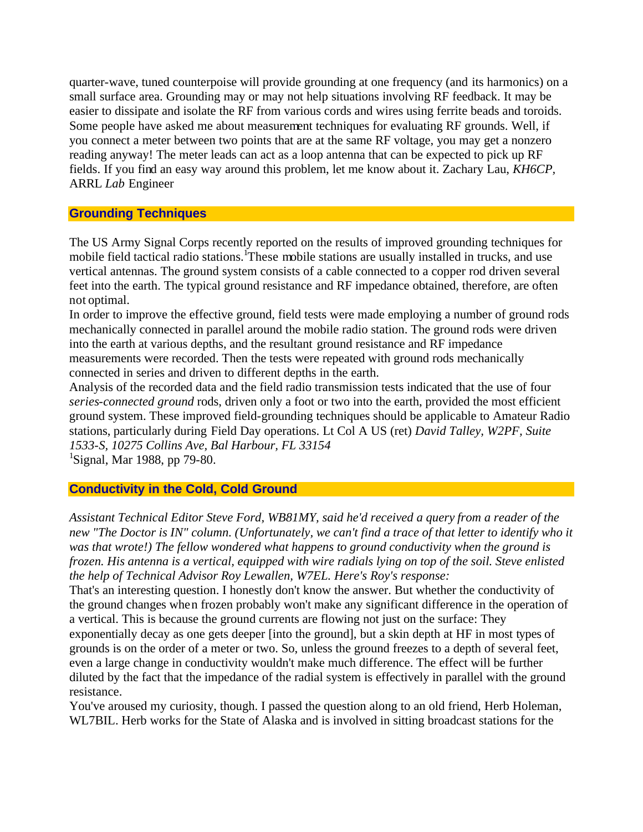quarter-wave, tuned counterpoise will provide grounding at one frequency (and its harmonics) on a small surface area. Grounding may or may not help situations involving RF feedback. It may be easier to dissipate and isolate the RF from various cords and wires using ferrite beads and toroids. Some people have asked me about measurement techniques for evaluating RF grounds. Well, if you connect a meter between two points that are at the same RF voltage, you may get a nonzero reading anyway! The meter leads can act as a loop antenna that can be expected to pick up RF fields. If you find an easy way around this problem, let me know about it. Zachary Lau, *KH6CP,*  ARRL *Lab* Engineer

### **Grounding Techniques**

The US Army Signal Corps recently reported on the results of improved grounding techniques for mobile field tactical radio stations.<sup>1</sup>These mobile stations are usually installed in trucks, and use vertical antennas. The ground system consists of a cable connected to a copper rod driven several feet into the earth. The typical ground resistance and RF impedance obtained, therefore, are often not optimal.

In order to improve the effective ground, field tests were made employing a number of ground rods mechanically connected in parallel around the mobile radio station. The ground rods were driven into the earth at various depths, and the resultant ground resistance and RF impedance measurements were recorded. Then the tests were repeated with ground rods mechanically connected in series and driven to different depths in the earth.

Analysis of the recorded data and the field radio transmission tests indicated that the use of four *series-connected ground* rods, driven only a foot or two into the earth, provided the most efficient ground system. These improved field-grounding techniques should be applicable to Amateur Radio stations, particularly during Field Day operations. Lt Col A US (ret) *David Talley, W2PF, Suite 1533-S, 10275 Collins Ave, Bal Harbour, FL 33154*

<sup>1</sup>Signal, Mar 1988, pp 79-80.

## **Conductivity in the Cold, Cold Ground**

*Assistant Technical Editor Steve Ford, WB81MY, said he'd received a query from a reader of the new "The Doctor is IN" column. (Unfortunately, we can't find a trace of that letter to identify who it was that wrote!) The fellow wondered what happens to ground conductivity when the ground is frozen. His antenna is a vertical, equipped with wire radials lying on top of the soil. Steve enlisted the help of Technical Advisor Roy Lewallen, W7EL. Here's Roy's response:*

That's an interesting question. I honestly don't know the answer. But whether the conductivity of the ground changes when frozen probably won't make any significant difference in the operation of a vertical. This is because the ground currents are flowing not just on the surface: They exponentially decay as one gets deeper [into the ground], but a skin depth at HF in most types of grounds is on the order of a meter or two. So, unless the ground freezes to a depth of several feet, even a large change in conductivity wouldn't make much difference. The effect will be further diluted by the fact that the impedance of the radial system is effectively in parallel with the ground resistance.

You've aroused my curiosity, though. I passed the question along to an old friend, Herb Holeman, WL7BIL. Herb works for the State of Alaska and is involved in sitting broadcast stations for the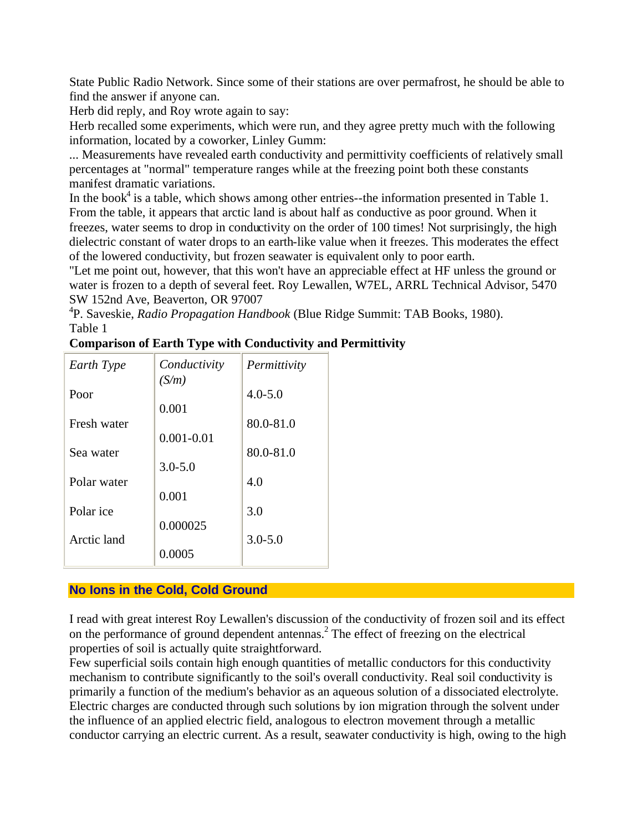State Public Radio Network. Since some of their stations are over permafrost, he should be able to find the answer if anyone can.

Herb did reply, and Roy wrote again to say:

Herb recalled some experiments, which were run, and they agree pretty much with the following information, located by a coworker, Linley Gumm:

... Measurements have revealed earth conductivity and permittivity coefficients of relatively small percentages at "normal" temperature ranges while at the freezing point both these constants manifest dramatic variations.

In the book<sup>4</sup> is a table, which shows among other entries--the information presented in Table 1. From the table, it appears that arctic land is about half as conductive as poor ground. When it freezes, water seems to drop in conductivity on the order of 100 times! Not surprisingly, the high dielectric constant of water drops to an earth-like value when it freezes. This moderates the effect of the lowered conductivity, but frozen seawater is equivalent only to poor earth.

"Let me point out, however, that this won't have an appreciable effect at HF unless the ground or water is frozen to a depth of several feet. Roy Lewallen, W7EL, ARRL Technical Advisor, 5470 SW 152nd Ave, Beaverton, OR 97007

4 P. Saveskie, *Radio Propagation Handbook* (Blue Ridge Summit: TAB Books, 1980). Table 1

|  |  | <b>Comparison of Earth Type with Conductivity and Permittivity</b> |
|--|--|--------------------------------------------------------------------|
|  |  |                                                                    |

| Earth Type  | Conductivity<br>(S/m) | Permittivity |
|-------------|-----------------------|--------------|
| Poor        |                       | $4.0 - 5.0$  |
|             | 0.001                 |              |
| Fresh water |                       | 80.0-81.0    |
|             | $0.001 - 0.01$        |              |
| Sea water   |                       | 80.0-81.0    |
|             | $3.0 - 5.0$           |              |
| Polar water |                       | 4.0          |
|             | 0.001                 |              |
| Polar ice   |                       | 3.0          |
|             | 0.000025              |              |
| Arctic land |                       | $3.0 - 5.0$  |
|             | 0.0005                |              |

# **No Ions in the Cold, Cold Ground**

I read with great interest Roy Lewallen's discussion of the conductivity of frozen soil and its effect on the performance of ground dependent antennas.<sup>2</sup> The effect of freezing on the electrical properties of soil is actually quite straightforward.

Few superficial soils contain high enough quantities of metallic conductors for this conductivity mechanism to contribute significantly to the soil's overall conductivity. Real soil conductivity is primarily a function of the medium's behavior as an aqueous solution of a dissociated electrolyte. Electric charges are conducted through such solutions by ion migration through the solvent under the influence of an applied electric field, analogous to electron movement through a metallic conductor carrying an electric current. As a result, seawater conductivity is high, owing to the high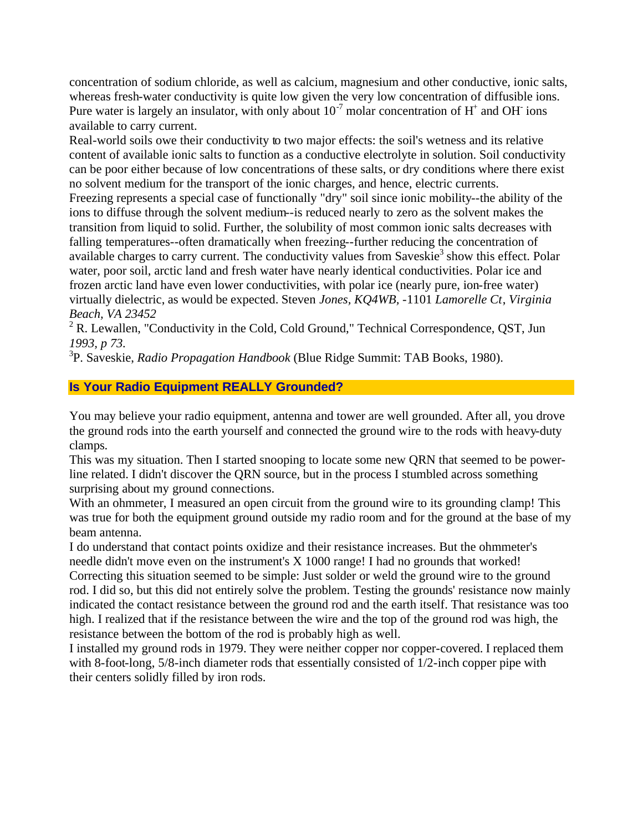concentration of sodium chloride, as well as calcium, magnesium and other conductive, ionic salts, whereas fresh-water conductivity is quite low given the very low concentration of diffusible ions. Pure water is largely an insulator, with only about  $10^{-7}$  molar concentration of H<sup>+</sup> and OH ions available to carry current.

Real-world soils owe their conductivity to two major effects: the soil's wetness and its relative content of available ionic salts to function as a conductive electrolyte in solution. Soil conductivity can be poor either because of low concentrations of these salts, or dry conditions where there exist no solvent medium for the transport of the ionic charges, and hence, electric currents.

Freezing represents a special case of functionally "dry" soil since ionic mobility--the ability of the ions to diffuse through the solvent medium--is reduced nearly to zero as the solvent makes the transition from liquid to solid. Further, the solubility of most common ionic salts decreases with falling temperatures--often dramatically when freezing--further reducing the concentration of available charges to carry current. The conductivity values from Saveskie<sup>3</sup> show this effect. Polar water, poor soil, arctic land and fresh water have nearly identical conductivities. Polar ice and frozen arctic land have even lower conductivities, with polar ice (nearly pure, ion-free water) virtually dielectric, as would be expected. Steven *Jones, KQ4WB,* -1101 *Lamorelle Ct*, *Virginia Beach, VA 23452* 

 $2^2$  R. Lewallen, "Conductivity in the Cold, Cold Ground," Technical Correspondence, QST, Jun *1993, p 73.* 

3 P. Saveskie, *Radio Propagation Handbook* (Blue Ridge Summit: TAB Books, 1980).

# **Is Your Radio Equipment REALLY Grounded?**

You may believe your radio equipment, antenna and tower are well grounded. After all, you drove the ground rods into the earth yourself and connected the ground wire to the rods with heavy-duty clamps.

This was my situation. Then I started snooping to locate some new QRN that seemed to be powerline related. I didn't discover the QRN source, but in the process I stumbled across something surprising about my ground connections.

With an ohmmeter, I measured an open circuit from the ground wire to its grounding clamp! This was true for both the equipment ground outside my radio room and for the ground at the base of my beam antenna.

I do understand that contact points oxidize and their resistance increases. But the ohmmeter's needle didn't move even on the instrument's X 1000 range! I had no grounds that worked! Correcting this situation seemed to be simple: Just solder or weld the ground wire to the ground rod. I did so, but this did not entirely solve the problem. Testing the grounds' resistance now mainly indicated the contact resistance between the ground rod and the earth itself. That resistance was too high. I realized that if the resistance between the wire and the top of the ground rod was high, the resistance between the bottom of the rod is probably high as well.

I installed my ground rods in 1979. They were neither copper nor copper-covered. I replaced them with 8-foot-long, 5/8-inch diameter rods that essentially consisted of 1/2-inch copper pipe with their centers solidly filled by iron rods.